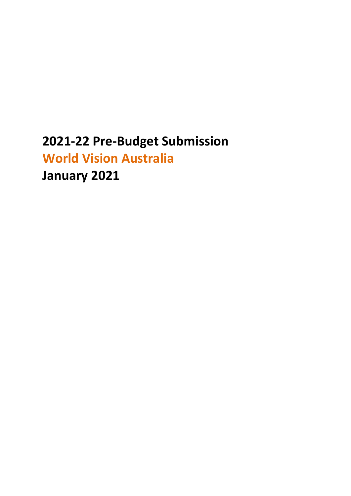# **2021-22 Pre-Budget Submission World Vision Australia January 2021**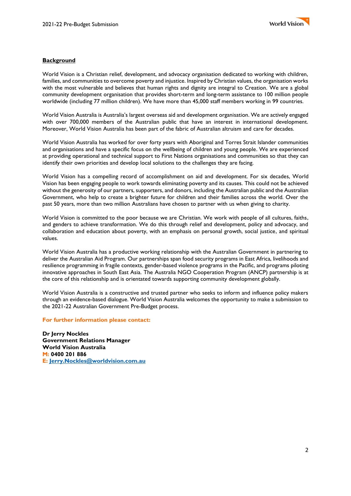# **Background**

World Vision is a Christian relief, development, and advocacy organisation dedicated to working with children, families, and communities to overcome poverty and injustice. Inspired by Christian values, the organisation works with the most vulnerable and believes that human rights and dignity are integral to Creation. We are a global community development organisation that provides short-term and long-term assistance to 100 million people worldwide (including 77 million children). We have more than 45,000 staff members working in 99 countries.

World Vision Australia is Australia's largest overseas aid and development organisation. We are actively engaged with over 700,000 members of the Australian public that have an interest in international development. Moreover, World Vision Australia has been part of the fabric of Australian altruism and care for decades.

World Vision Australia has worked for over forty years with Aboriginal and Torres Strait Islander communities and organisations and have a specific focus on the wellbeing of children and young people. We are experienced at providing operational and technical support to First Nations organisations and communities so that they can identify their own priorities and develop local solutions to the challenges they are facing.

World Vision has a compelling record of accomplishment on aid and development. For six decades, World Vision has been engaging people to work towards eliminating poverty and its causes. This could not be achieved without the generosity of our partners, supporters, and donors, including the Australian public and the Australian Government, who help to create a brighter future for children and their families across the world. Over the past 50 years, more than two million Australians have chosen to partner with us when giving to charity.

World Vision is committed to the poor because we are Christian. We work with people of all cultures, faiths, and genders to achieve transformation. We do this through relief and development, policy and advocacy, and collaboration and education about poverty, with an emphasis on personal growth, social justice, and spiritual values.

World Vision Australia has a productive working relationship with the Australian Government in partnering to deliver the Australian Aid Program. Our partnerships span food security programs in East Africa, livelihoods and resilience programming in fragile contexts, gender-based violence programs in the Pacific, and programs piloting innovative approaches in South East Asia. The Australia NGO Cooperation Program (ANCP) partnership is at the core of this relationship and is orientated towards supporting community development globally.

World Vision Australia is a constructive and trusted partner who seeks to inform and influence policy makers through an evidence-based dialogue. World Vision Australia welcomes the opportunity to make a submission to the 2021-22 Australian Government Pre-Budget process.

#### **For further information please contact:**

**Dr Jerry Nockles Government Relations Manager World Vision Australia M: 0400 201 886 E: [Jerry.Nockles@worldvision.com.au](mailto:Jerry.Nockles@worldvision.com.au)**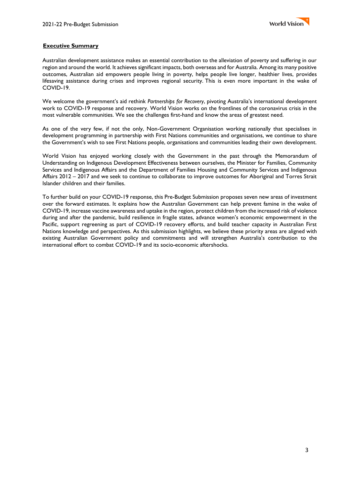# **Executive Summary**

Australian development assistance makes an essential contribution to the alleviation of poverty and suffering in our region and around the world. It achieves significant impacts, both overseas and for Australia. Among its many positive outcomes, Australian aid empowers people living in poverty, helps people live longer, healthier lives, provides lifesaving assistance during crises and improves regional security. This is even more important in the wake of COVID-19.

We welcome the government's aid rethink *Partnerships for Recovery*, pivoting Australia's international development work to COVID-19 response and recovery. World Vision works on the frontlines of the coronavirus crisis in the most vulnerable communities. We see the challenges first-hand and know the areas of greatest need.

As one of the very few, if not the only, Non-Government Organisation working nationally that specialises in development programming in partnership with First Nations communities and organisations, we continue to share the Government's wish to see First Nations people, organisations and communities leading their own development.

World Vision has enjoyed working closely with the Government in the past through the Memorandum of Understanding on Indigenous Development Effectiveness between ourselves, the Minister for Families, Community Services and Indigenous Affairs and the Department of Families Housing and Community Services and Indigenous Affairs 2012 – 2017 and we seek to continue to collaborate to improve outcomes for Aboriginal and Torres Strait Islander children and their families.

To further build on your COVID-19 response, this Pre-Budget Submission proposes seven new areas of investment over the forward estimates. It explains how the Australian Government can help prevent famine in the wake of COVID-19, increase vaccine awareness and uptake in the region, protect children from the increased risk of violence during and after the pandemic, build resilience in fragile states, advance women's economic empowerment in the Pacific, support regreening as part of COVID-19 recovery efforts, and build teacher capacity in Australian First Nations knowledge and perspectives. As this submission highlights, we believe these priority areas are aligned with existing Australian Government policy and commitments and will strengthen Australia's contribution to the international effort to combat COVID-19 and its socio-economic aftershocks.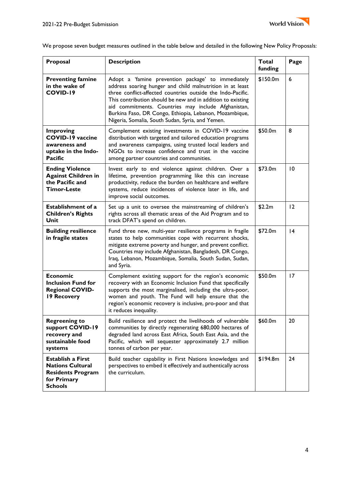

We propose seven budget measures outlined in the table below and detailed in the following New Policy Proposals:

| Proposal                                                                                                         | <b>Description</b>                                                                                                                                                                                                                                                                                                                                                                                                 | Total<br>funding | Page            |
|------------------------------------------------------------------------------------------------------------------|--------------------------------------------------------------------------------------------------------------------------------------------------------------------------------------------------------------------------------------------------------------------------------------------------------------------------------------------------------------------------------------------------------------------|------------------|-----------------|
| <b>Preventing famine</b><br>in the wake of<br><b>COVID-19</b>                                                    | Adopt a 'famine prevention package' to immediately<br>address soaring hunger and child malnutrition in at least<br>three conflict-affected countries outside the Indo-Pacific.<br>This contribution should be new and in addition to existing<br>aid commitments. Countries may include Afghanistan,<br>Burkina Faso, DR Congo, Ethiopia, Lebanon, Mozambique,<br>Nigeria, Somalia, South Sudan, Syria, and Yemen. | \$150.0m         | 6               |
| <b>Improving</b><br><b>COVID-19 vaccine</b><br>awareness and<br>uptake in the Indo-<br><b>Pacific</b>            | Complement existing investments in COVID-19 vaccine<br>distribution with targeted and tailored education programs<br>and awareness campaigns, using trusted local leaders and<br>NGOs to increase confidence and trust in the vaccine<br>among partner countries and communities.                                                                                                                                  | \$50.0m          | 8               |
| <b>Ending Violence</b><br><b>Against Children in</b><br>the Pacific and<br><b>Timor-Leste</b>                    | Invest early to end violence against children. Over a<br>lifetime, prevention programming like this can increase<br>productivity, reduce the burden on healthcare and welfare<br>systems, reduce incidences of violence later in life, and<br>improve social outcomes.                                                                                                                                             | \$73.0m          | 10              |
| <b>Establishment of a</b><br><b>Children's Rights</b><br>Unit                                                    | Set up a unit to oversee the mainstreaming of children's<br>rights across all thematic areas of the Aid Program and to<br>track DFAT's spend on children.                                                                                                                                                                                                                                                          | \$2.2m           | 12              |
| <b>Building resilience</b><br>in fragile states                                                                  | Fund three new, multi-year resilience programs in fragile<br>states to help communities cope with recurrent shocks,<br>mitigate extreme poverty and hunger, and prevent conflict.<br>Countries may include Afghanistan, Bangladesh, DR Congo,<br>Iraq, Lebanon, Mozambique, Somalia, South Sudan, Sudan,<br>and Syria.                                                                                             | \$72.0m          | $\overline{14}$ |
| <b>Economic</b><br><b>Inclusion Fund for</b><br><b>Regional COVID-</b><br>19 Recovery                            | Complement existing support for the region's economic<br>recovery with an Economic Inclusion Fund that specifically<br>supports the most marginalised, including the ultra-poor,<br>women and youth. The Fund will help ensure that the<br>region's economic recovery is inclusive, pro-poor and that<br>it reduces inequality.                                                                                    | \$50.0m          | 17              |
| <b>Regreening to</b><br>support COVID-19<br>recovery and<br>sustainable food<br>systems                          | Build resilience and protect the livelihoods of vulnerable<br>communities by directly regenerating 680,000 hectares of<br>degraded land across East Africa, South East Asia, and the<br>Pacific, which will sequester approximately 2.7 million<br>tonnes of carbon per year.                                                                                                                                      | \$60.0m          | 20              |
| <b>Establish a First</b><br><b>Nations Cultural</b><br><b>Residents Program</b><br>for Primary<br><b>Schools</b> | Build teacher capability in First Nations knowledges and<br>perspectives to embed it effectively and authentically across<br>the curriculum.                                                                                                                                                                                                                                                                       | \$194.8m         | 24              |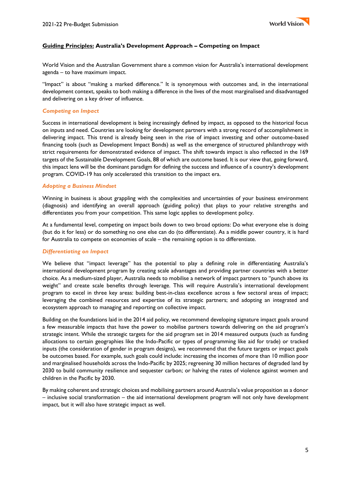

# **Guiding Principles: Australia's Development Approach – Competing on Impact**

World Vision and the Australian Government share a common vision for Australia's international development agenda – to have maximum impact.

"Impact" is about "making a marked difference." It is synonymous with outcomes and, in the international development context, speaks to both making a difference in the lives of the most marginalised and disadvantaged and delivering on a key driver of influence.

#### *Competing on Impact*

Success in international development is being increasingly defined by impact, as opposed to the historical focus on inputs and need. Countries are looking for development partners with a strong record of accomplishment in delivering impact. This trend is already being seen in the rise of impact investing and other outcome-based financing tools (such as Development Impact Bonds) as well as the emergence of structured philanthropy with strict requirements for demonstrated evidence of impact. The shift towards impact is also reflected in the 169 targets of the Sustainable Development Goals, 88 of which are outcome based. It is our view that, going forward, this impact lens will be the dominant paradigm for defining the success and influence of a country's development program. COVID-19 has only accelerated this transition to the impact era.

#### *Adopting a Business Mindset*

Winning in business is about grappling with the complexities and uncertainties of your business environment (diagnosis) and identifying an overall approach (guiding policy) that plays to your relative strengths and differentiates you from your competition. This same logic applies to development policy.

At a fundamental level, competing on impact boils down to two broad options: Do what everyone else is doing (but do it for less) or do something no one else can do (to differentiate). As a middle power country, it is hard for Australia to compete on economies of scale – the remaining option is to differentiate.

#### *Differentiating on Impact*

We believe that "impact leverage" has the potential to play a defining role in differentiating Australia's international development program by creating scale advantages and providing partner countries with a better choice. As a medium-sized player, Australia needs to mobilise a network of impact partners to "punch above its weight" and create scale benefits through leverage. This will require Australia's international development program to excel in three key areas: building best-in-class excellence across a few sectoral areas of impact; leveraging the combined resources and expertise of its strategic partners; and adopting an integrated and ecosystem approach to managing and reporting on collective impact.

Building on the foundations laid in the 2014 aid policy, we recommend developing signature impact goals around a few measurable impacts that have the power to mobilise partners towards delivering on the aid program's strategic intent. While the strategic targets for the aid program set in 2014 measured outputs (such as funding allocations to certain geographies like the Indo-Pacific or types of programming like aid for trade) or tracked inputs (the consideration of gender in program designs), we recommend that the future targets or impact goals be outcomes based. For example, such goals could include: increasing the incomes of more than 10 million poor and marginalised households across the Indo-Pacific by 2025; regreening 30 million hectares of degraded land by 2030 to build community resilience and sequester carbon; or halving the rates of violence against women and children in the Pacific by 2030.

By making coherent and strategic choices and mobilising partners around Australia's value proposition as a donor – inclusive social transformation – the aid international development program will not only have development impact, but it will also have strategic impact as well.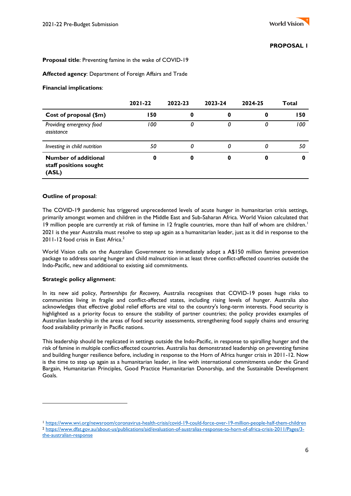# **Proposal title**: Preventing famine in the wake of COVID-19

#### **Affected agency**: Department of Foreign Affairs and Trade

#### **Financial implications**:

|                                                                | $2021 - 22$ | 2022-23 | 2023-24 | 2024-25 | Total |
|----------------------------------------------------------------|-------------|---------|---------|---------|-------|
| Cost of proposal (\$m)                                         | 150         | 0       | O       |         | 150   |
| Providing emergency food<br>assistance                         | 100         | 0       | 0       |         | 100   |
| Investing in child nutrition                                   | 50          | 0       | 0       |         | 50    |
| <b>Number of additional</b><br>staff positions sought<br>(ASL) | 0           | 0       | 0       |         |       |

#### **Outline of proposal**:

The COVID-19 pandemic has triggered unprecedented levels of acute hunger in humanitarian crisis settings, primarily amongst women and children in the Middle East and Sub-Saharan Africa. World Vision calculated that 19 million people are currently at risk of famine in 12 fragile countries, more than half of whom are children.<sup>1</sup> 2021 is the year Australia must resolve to step up again as a humanitarian leader, just as it did in response to the 2011-12 food crisis in East Africa.<sup>2</sup>

World Vision calls on the Australian Government to immediately adopt a A\$150 million famine prevention package to address soaring hunger and child malnutrition in at least three conflict-affected countries outside the Indo-Pacific, new and additional to existing aid commitments.

#### **Strategic policy alignment**:

In its new aid policy, *Partnerships for Recovery*, Australia recognises that COVID-19 poses huge risks to communities living in fragile and conflict-affected states, including rising levels of hunger. Australia also acknowledges that effective global relief efforts are vital to the country's long-term interests. Food security is highlighted as a priority focus to ensure the stability of partner countries; the policy provides examples of Australian leadership in the areas of food security assessments, strengthening food supply chains and ensuring food availability primarily in Pacific nations.

This leadership should be replicated in settings outside the Indo-Pacific, in response to spiralling hunger and the risk of famine in multiple conflict-affected countries. Australia has demonstrated leadership on preventing famine and building hunger resilience before, including in response to the Horn of Africa hunger crisis in 2011-12. Now is the time to step up again as a humanitarian leader, in line with international commitments under the Grand Bargain, Humanitarian Principles, Good Practice Humanitarian Donorship, and the Sustainable Development Goals.

<sup>1</sup> <https://www.wvi.org/newsroom/coronavirus-health-crisis/covid-19-could-force-over-19-million-people-half-them-children> <sup>2</sup> [https://www.dfat.gov.au/about-us/publications/aid/evaluation-of-australias-response-to-horn-of-africa-crisis-2011/Pages/3](https://www.dfat.gov.au/about-us/publications/aid/evaluation-of-australias-response-to-horn-of-africa-crisis-2011/Pages/3-the-australian-response) [the-australian-response](https://www.dfat.gov.au/about-us/publications/aid/evaluation-of-australias-response-to-horn-of-africa-crisis-2011/Pages/3-the-australian-response)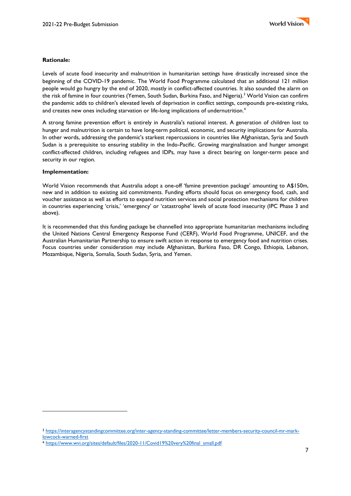# **Rationale:**

Levels of acute food insecurity and malnutrition in humanitarian settings have drastically increased since the beginning of the COVID-19 pandemic. The World Food Programme calculated that an additional 121 million people would go hungry by the end of 2020, mostly in conflict-affected countries. It also sounded the alarm on the risk of famine in four countries (Yemen, South Sudan, Burkina Faso, and Nigeria).<sup>3</sup> World Vision can confirm the pandemic adds to children's elevated levels of deprivation in conflict settings, compounds pre-existing risks, and creates new ones including starvation or life-long implications of undernutrition.<sup>4</sup>

A strong famine prevention effort is entirely in Australia's national interest. A generation of children lost to hunger and malnutrition is certain to have long-term political, economic, and security implications for Australia. In other words, addressing the pandemic's starkest repercussions in countries like Afghanistan, Syria and South Sudan is a prerequisite to ensuring stability in the Indo-Pacific. Growing marginalisation and hunger amongst conflict-affected children, including refugees and IDPs, may have a direct bearing on longer-term peace and security in our region.

#### **Implementation:**

World Vision recommends that Australia adopt a one-off 'famine prevention package' amounting to A\$150m, new and in addition to existing aid commitments. Funding efforts should focus on emergency food, cash, and voucher assistance as well as efforts to expand nutrition services and social protection mechanisms for children in countries experiencing 'crisis,' 'emergency' or 'catastrophe' levels of acute food insecurity (IPC Phase 3 and above).

It is recommended that this funding package be channelled into appropriate humanitarian mechanisms including the United Nations Central Emergency Response Fund (CERF), World Food Programme, UNICEF, and the Australian Humanitarian Partnership to ensure swift action in response to emergency food and nutrition crises. Focus countries under consideration may include Afghanistan, Burkina Faso, DR Congo, Ethiopia, Lebanon, Mozambique, Nigeria, Somalia, South Sudan, Syria, and Yemen.

<sup>3</sup> [https://interagencystandingcommittee.org/inter-agency-standing-committee/letter-members-security-council-mr-mark](https://interagencystandingcommittee.org/inter-agency-standing-committee/letter-members-security-council-mr-mark-lowcock-warned-first)[lowcock-warned-first](https://interagencystandingcommittee.org/inter-agency-standing-committee/letter-members-security-council-mr-mark-lowcock-warned-first)

<sup>4</sup> [https://www.wvi.org/sites/default/files/2020-11/Covid19%20very%20final\\_small.pdf](https://www.wvi.org/sites/default/files/2020-11/Covid19%20very%20final_small.pdf)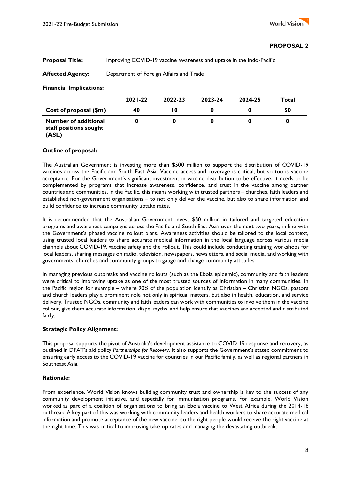## **Proposal Title:** Improving COVID-19 vaccine awareness and uptake in the Indo-Pacific

# **Affected Agency:** Department of Foreign Affairs and Trade

#### **Financial Implications:**

|                                                                | $2021 - 22$ | 2022-23 | 2023-24 | 2024-25 | Total |
|----------------------------------------------------------------|-------------|---------|---------|---------|-------|
| Cost of proposal (\$m)                                         | 40          | l 0     |         |         | 50    |
| <b>Number of additional</b><br>staff positions sought<br>(ASL) |             |         |         |         |       |

## **Outline of proposal:**

The Australian Government is investing more than \$500 million to support the distribution of COVID-19 vaccines across the Pacific and South East Asia. Vaccine access and coverage is critical, but so too is vaccine acceptance. For the Government's significant investment in vaccine distribution to be effective, it needs to be complemented by programs that increase awareness, confidence, and trust in the vaccine among partner countries and communities. In the Pacific, this means working with trusted partners – churches, faith leaders and established non-government organisations – to not only deliver the vaccine, but also to share information and build confidence to increase community uptake rates.

It is recommended that the Australian Government invest \$50 million in tailored and targeted education programs and awareness campaigns across the Pacific and South East Asia over the next two years, in line with the Government's phased vaccine rollout plans. Awareness activities should be tailored to the local context, using trusted local leaders to share accurate medical information in the local language across various media channels about COVID-19, vaccine safety and the rollout. This could include conducting training workshops for local leaders, sharing messages on radio, television, newspapers, newsletters, and social media, and working with governments, churches and community groups to gauge and change community attitudes.

In managing previous outbreaks and vaccine rollouts (such as the Ebola epidemic), community and faith leaders were critical to improving uptake as one of the most trusted sources of information in many communities. In the Pacific region for example – where 90% of the population identify as Christian – Christian NGOs, pastors and church leaders play a prominent role not only in spiritual matters, but also in health, education, and service delivery. Trusted NGOs, community and faith leaders can work with communities to involve them in the vaccine rollout, give them accurate information, dispel myths, and help ensure that vaccines are accepted and distributed fairly.

# **Strategic Policy Alignment:**

This proposal supports the pivot of Australia's development assistance to COVID-19 response and recovery, as outlined in DFAT's aid policy *Partnerships for Recovery*. It also supports the Government's stated commitment to ensuring early access to the COVID-19 vaccine for countries in our Pacific family, as well as regional partners in Southeast Asia.

#### **Rationale:**

From experience, World Vision knows building community trust and ownership is key to the success of any community development initiative, and especially for immunisation programs. For example, World Vision worked as part of a coalition of organisations to bring an Ebola vaccine to West Africa during the 2014-16 outbreak. A key part of this was working with community leaders and health workers to share accurate medical information and promote acceptance of the new vaccine, so the right people would receive the right vaccine at the right time. This was critical to improving take-up rates and managing the devastating outbreak.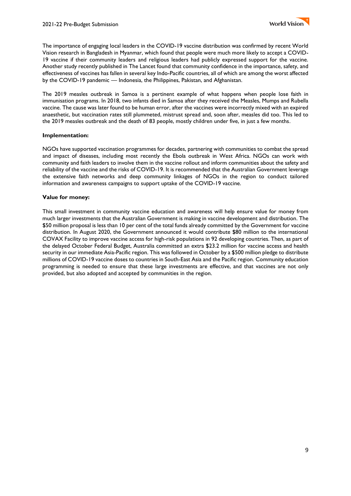The importance of engaging local leaders in the COVID-19 vaccine distribution was confirmed by recent World Vision research in Bangladesh in Myanmar, which found that people were much more likely to accept a COVID-19 vaccine if their community leaders and religious leaders had publicly expressed support for the vaccine. Another study recently published in The Lancet found that community confidence in the importance, safety, and effectiveness of vaccines has fallen in several key Indo-Pacific countries, all of which are among the worst affected by the COVID-19 pandemic — Indonesia, the Philippines, Pakistan, and Afghanistan.

The 2019 measles outbreak in Samoa is a pertinent example of what happens when people lose faith in immunisation programs. In 2018, [two infants died in Samoa](https://www.abc.net.au/news/2020-09-26/pacific-island-nations-rollout-vaccine-plans-australia-lessons/12647254) after they received the Measles, Mumps and Rubella vaccine. The cause was later found to be human error, after the vaccines were incorrectly mixed with an expired anaesthetic, but vaccination rates still plummeted, mistrust spread and, soon after, measles did too. This led to the 2019 measles outbreak and the death of 83 people, mostly children under five, in just a few months.

## **Implementation:**

NGOs have supported vaccination programmes for decades, partnering with communities to combat the spread and impact of diseases, including most recently the Ebola outbreak in West Africa. NGOs can work with community and faith leaders to involve them in the vaccine rollout and inform communities about the safety and reliability of the vaccine and the risks of COVID-19. It is recommended that the Australian Government leverage the extensive faith networks and deep community linkages of NGOs in the region to conduct tailored information and awareness campaigns to support uptake of the COVID-19 vaccine.

#### **Value for money:**

This small investment in community vaccine education and awareness will help ensure value for money from much larger investments that the Australian Government is making in vaccine development and distribution. The \$50 million proposal is less than 10 per cent of the total funds already committed by the Government for vaccine distribution. In August 2020, the Government announced it would contribute \$80 million to the international COVAX Facility to improve vaccine access for high-risk populations in 92 developing countries. Then, as part of the delayed October Federal Budget, Australia committed an extra \$23.2 million for vaccine access and health security in our immediate Asia-Pacific region. This was followed in October by a \$500 million pledge to distribute millions of COVID-19 vaccine doses to countries in South-East Asia and the Pacific region. Community education programming is needed to ensure that these large investments are effective, and that vaccines are not only provided, but also adopted and accepted by communities in the region.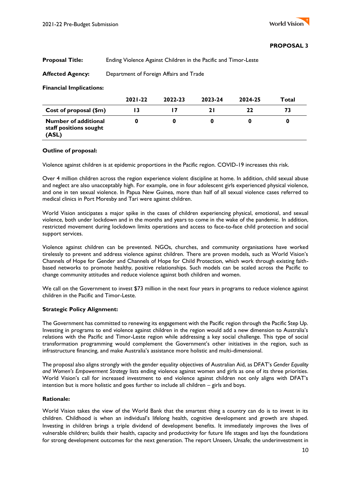# **Proposal Title:** Ending Violence Against Children in the Pacific and Timor-Leste

# **Affected Agency:** Department of Foreign Affairs and Trade

#### **Financial Implications:**

|                                                                | $2021 - 22$ | 2022-23 | 2023-24 | 2024-25 | Total |
|----------------------------------------------------------------|-------------|---------|---------|---------|-------|
| Cost of proposal (\$m)                                         |             |         |         | 77      | 73    |
| <b>Number of additional</b><br>staff positions sought<br>(ASL) |             |         |         |         |       |

## **Outline of proposal:**

Violence against children is at epidemic proportions in the Pacific region. COVID-19 increases this risk.

Over 4 million children across the region experience violent discipline at home. In addition, child sexual abuse and neglect are also unacceptably high. For example, one in four adolescent girls experienced physical violence, and one in ten sexual violence. In Papua New Guinea, more than half of all sexual violence cases referred to medical clinics in Port Moresby and Tari were against children.

World Vision anticipates a major spike in the cases of children experiencing physical, emotional, and sexual violence, both under lockdown and in the months and years to come in the wake of the pandemic. In addition, restricted movement during lockdown limits operations and access to face-to-face child protection and social support services.

Violence against children can be prevented. NGOs, churches, and community organisations have worked tirelessly to prevent and address violence against children. There are proven models, such as World Vision's Channels of Hope for Gender and Channels of Hope for Child Protection, which work through existing faithbased networks to promote healthy, positive relationships. Such models can be scaled across the Pacific to change community attitudes and reduce violence against both children and women.

We call on the Government to invest \$73 million in the next four years in programs to reduce violence against children in the Pacific and Timor-Leste.

#### **Strategic Policy Alignment:**

The Government has committed to renewing its engagement with the Pacific region through the Pacific Step Up. Investing in programs to end violence against children in the region would add a new dimension to Australia's relations with the Pacific and Timor-Leste region while addressing a key social challenge. This type of social transformation programming would complement the Government's other initiatives in the region, such as infrastructure financing, and make Australia's assistance more holistic and multi-dimensional.

The proposal also aligns strongly with the gender equality objectives of Australian Aid, as DFAT's *Gender Equality and Women's Empowerment Strategy* lists ending violence against women and girls as one of its three priorities. World Vision's call for increased investment to end violence against children not only aligns with DFAT's intention but is more holistic and goes further to include all children – girls and boys.

#### **Rationale:**

World Vision takes the view of the World Bank that the smartest thing a country can do is to invest in its children. Childhood is when an individual's lifelong health, cognitive development and growth are shaped. Investing in children brings a triple dividend of development benefits. It immediately improves the lives of vulnerable children; builds their health, capacity and productivity for future life stages and lays the foundations for strong development outcomes for the next generation. The report Unseen, Unsafe; the underinvestment in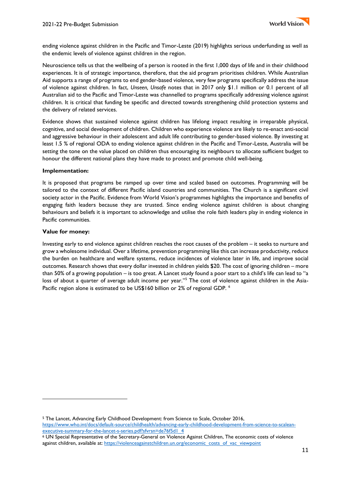

ending violence against children in the Pacific and Timor-Leste (2019) highlights serious underfunding as well as the endemic levels of violence against children in the region.

Neuroscience tells us that the wellbeing of a person is rooted in the first 1,000 days of life and in their childhood experiences. It is of strategic importance, therefore, that the aid program prioritises children. While Australian Aid supports a range of programs to end gender-based violence, very few programs specifically address the issue of violence against children. In fact, *Unseen, Unsafe* notes that in 2017 only \$1.1 million or 0.1 percent of all Australian aid to the Pacific and Timor-Leste was channelled to programs specifically addressing violence against children. It is critical that funding be specific and directed towards strengthening child protection systems and the delivery of related services.

Evidence shows that sustained violence against children has lifelong impact resulting in irreparable physical, cognitive, and social development of children. Children who experience violence are likely to re-enact anti-social and aggressive behaviour in their adolescent and adult life contributing to gender-based violence. By investing at least 1.5 % of regional ODA to ending violence against children in the Pacific and Timor-Leste, Australia will be setting the tone on the value placed on children thus encouraging its neighbours to allocate sufficient budget to honour the different national plans they have made to protect and promote child well-being.

#### **Implementation:**

It is proposed that programs be ramped up over time and scaled based on outcomes. Programming will be tailored to the context of different Pacific island countries and communities. The Church is a significant civil society actor in the Pacific. Evidence from World Vision's programmes highlights the importance and benefits of engaging faith leaders because they are trusted. Since ending violence against children is about changing behaviours and beliefs it is important to acknowledge and utilise the role faith leaders play in ending violence in Pacific communities.

#### **Value for money:**

Investing early to end violence against children reaches the root causes of the problem – it seeks to nurture and grow a wholesome individual. Over a lifetime, prevention programming like this can increase productivity, reduce the burden on healthcare and welfare systems, reduce incidences of violence later in life, and improve social outcomes. Research shows that every dollar invested in children yields \$20. The cost of ignoring children – more than 50% of a growing population – is too great. A Lancet study found a poor start to a child's life can lead to "a loss of about a quarter of average adult income per year."<sup>5</sup> The cost of violence against children in the Asia-Pacific region alone is estimated to be US\$160 billion or 2% of regional GDP. <sup>6</sup>

<sup>5</sup> The Lancet, Advancing Early Childhood Development: from Science to Scale, October 2016, [https://www.who.int/docs/default-source/childhealth/advancing-early-childhood-development-from-science-to-scalean](https://www.who.int/docs/default-source/childhealth/advancing-early-childhood-development-from-science-to-scalean-executive-summary-for-the-lancet-s-series.pdf?sfvrsn=de76f5d1_4)[executive-summary-for-the-lancet-s-series.pdf?sfvrsn=de76f5d1\\_4](https://www.who.int/docs/default-source/childhealth/advancing-early-childhood-development-from-science-to-scalean-executive-summary-for-the-lancet-s-series.pdf?sfvrsn=de76f5d1_4)

<sup>6</sup> UN Special Representative of the Secretary-General on Violence Against Children, The economic costs of violence against children, available at: [https://violenceagainstchildren.un.org/economic\\_costs\\_of\\_vac\\_viewpoint](https://violenceagainstchildren.un.org/economic_costs_of_vac_viewpoint)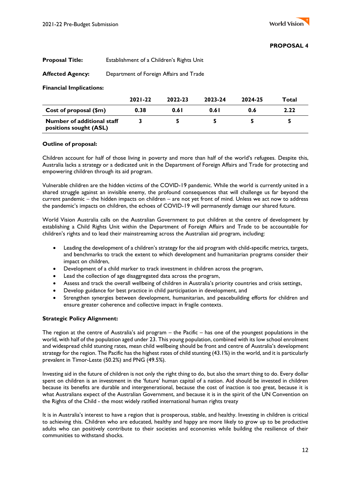# **Proposal Title:** Establishment of a Children's Rights Unit

# **Affected Agency:** Department of Foreign Affairs and Trade

#### **Financial Implications:**

|                                                      | $2021 - 22$ | 2022-23 | 2023-24 | 2024-25 | Total |
|------------------------------------------------------|-------------|---------|---------|---------|-------|
| Cost of proposal $(\$m)$                             | 0.38        | 0.61    | 0.61    | 0.6     | 2.22  |
| Number of additional staff<br>positions sought (ASL) |             |         |         |         |       |

#### **Outline of proposal:**

Children account for half of those living in poverty and more than half of the world's refugees. Despite this, Australia lacks a strategy or a dedicated unit in the Department of Foreign Affairs and Trade for protecting and empowering children through its aid program.

Vulnerable children are the hidden victims of the COVID-19 pandemic. While the world is currently united in a shared struggle against an invisible enemy, the profound consequences that will challenge us far beyond the current pandemic – the hidden impacts on children – are not yet front of mind. Unless we act now to address the pandemic's impacts on children, the echoes of COVID-19 will permanently damage our shared future.

World Vision Australia calls on the Australian Government to put children at the centre of development by establishing a Child Rights Unit within the Department of Foreign Affairs and Trade to be accountable for children's rights and to lead their mainstreaming across the Australian aid program, including:

- Leading the development of a children's strategy for the aid program with child-specific metrics, targets, and benchmarks to track the extent to which development and humanitarian programs consider their impact on children,
- Development of a child marker to track investment in children across the program,
- Lead the collection of age disaggregated data across the program,
- Assess and track the overall wellbeing of children in Australia's priority countries and crisis settings,
- Develop guidance for best practice in child participation in development, and
- Strengthen synergies between development, humanitarian, and peacebuilding efforts for children and ensure greater coherence and collective impact in fragile contexts.

# **Strategic Policy Alignment:**

The region at the centre of Australia's aid program – the Pacific – has one of the youngest populations in the world, with half of the population aged under 23. This young population, combined with its low school enrolment and widespread child stunting rates, mean child wellbeing should be front and centre of Australia's development strategy for the region. The Pacific has the highest rates of child stunting (43.1%) in the world, and it is particularly prevalent in Timor-Leste (50.2%) and PNG (49.5%).

Investing aid in the future of children is not only the right thing to do, but also the smart thing to do. Every dollar spent on children is an investment in the 'future' human capital of a nation. Aid should be invested in children because its benefits are durable and intergenerational, because the cost of inaction is too great, because it is what Australians expect of the Australian Government, and because it is in the spirit of the UN Convention on the Rights of the Child - the most widely ratified international human rights treaty

It is in Australia's interest to have a region that is prosperous, stable, and healthy. Investing in children is critical to achieving this. Children who are educated, healthy and happy are more likely to grow up to be productive adults who can positively contribute to their societies and economies while building the resilience of their communities to withstand shocks.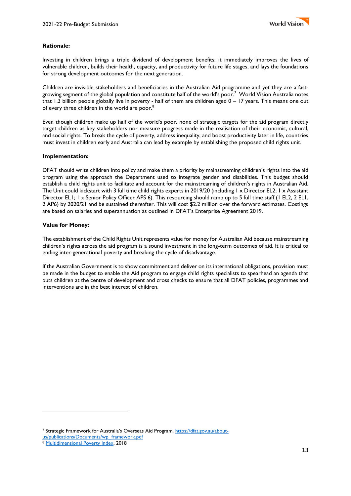

## **Rationale:**

Investing in children brings a triple dividend of development benefits: it immediately improves the lives of vulnerable children, builds their health, capacity, and productivity for future life stages, and lays the foundations for strong development outcomes for the next generation.

Children are invisible stakeholders and beneficiaries in the Australian Aid programme and yet they are a fastgrowing segment of the global population and constitute half of the world's poor.<sup>7</sup> World Vision Australia notes that 1.3 billion people globally live in poverty - half of them are children aged 0 – 17 years. This means one out of every three children in the world are poor.<sup>8</sup>

Even though children make up half of the world's poor, none of strategic targets for the aid program directly target children as key stakeholders nor measure progress made in the realisation of their economic, cultural, and social rights. To break the cycle of poverty, address inequality, and boost productivity later in life, countries must invest in children early and Australia can lead by example by establishing the proposed child rights unit.

#### **Implementation:**

DFAT should write children into policy and make them a priority by mainstreaming children's rights into the aid program using the approach the Department used to integrate gender and disabilities. This budget should establish a child rights unit to facilitate and account for the mainstreaming of children's rights in Australian Aid. The Unit could kickstart with 3 full time child rights experts in 2019/20 (including 1 x Director EL2; 1 x Assistant Director EL1; 1 x Senior Policy Officer APS 6). This resourcing should ramp up to 5 full time staff (1 EL2, 2 EL1, 2 AP6) by 2020/21 and be sustained thereafter. This will cost \$2.2 million over the forward estimates. Costings are based on salaries and superannuation as outlined in DFAT's Enterprise Agreement 2019.

## **Value for Money:**

The establishment of the Child Rights Unit represents value for money for Australian Aid because mainstreaming children's rights across the aid program is a sound investment in the long-term outcomes of aid. It is critical to ending inter-generational poverty and breaking the cycle of disadvantage.

If the Australian Government is to show commitment and deliver on its international obligations, provision must be made in the budget to enable the Aid program to engage child rights specialists to spearhead an agenda that puts children at the centre of development and cross checks to ensure that all DFAT policies, programmes and interventions are in the best interest of children.

<sup>7</sup> Strategic Framework for Australia's Overseas Aid Program, [https://dfat.gov.au/about](https://dfat.gov.au/about-us/publications/Documents/wp_framework.pdf)[us/publications/Documents/wp\\_framework.pdf](https://dfat.gov.au/about-us/publications/Documents/wp_framework.pdf)  8 [Multidimensional Poverty Index,](https://ophi.org.uk/multidimensional-poverty-index/global-mpi-2018/#t3) 2018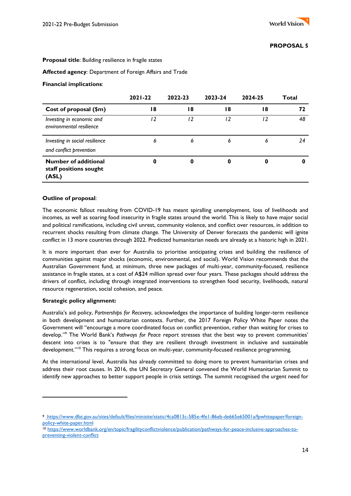#### **Proposal title**: Building resilience in fragile states

**Affected agency**: Department of Foreign Affairs and Trade

#### **Financial implications**:

|                                                                | $2021 - 22$ | 2022-23 | 2023-24 | 2024-25 | Total |
|----------------------------------------------------------------|-------------|---------|---------|---------|-------|
| Cost of proposal (\$m)                                         | 18          | 18      | 18      | 18      | 72    |
| Investing in economic and<br>environmental resilience          | 12          | 12      | 12      | 12      | 48    |
| Investing in social resilience<br>and conflict prevention      | 6           | 6       | 6       | 6       | 24    |
| <b>Number of additional</b><br>staff positions sought<br>(ASL) | 0           | 0       | 0       |         |       |

#### **Outline of proposal**:

The economic fallout resulting from COVID-19 has meant spiralling unemployment, loss of livelihoods and incomes, as well as soaring food insecurity in fragile states around the world. This is likely to have major social and political ramifications, including civil unrest, community violence, and conflict over resources, in addition to recurrent shocks resulting from climate change. The University of Denver forecasts the pandemic will ignite conflict in 13 more countries through 2022. Predicted humanitarian needs are already at a historic high in 2021.

It is more important than ever for Australia to prioritise anticipating crises and building the resilience of communities against major shocks (economic, environmental, and social). World Vision recommends that the Australian Government fund, at minimum, three new packages of multi-year, community-focused, resilience assistance in fragile states, at a cost of A\$24 million spread over four years. These packages should address the drivers of conflict, including through integrated interventions to strengthen food security, livelihoods, natural resource regeneration, social cohesion, and peace.

#### **Strategic policy alignment:**

Australia's aid policy, *Partnerships for Recovery*, acknowledges the importance of building longer-term resilience in both development and humanitarian contexts. Further, the 2017 Foreign Policy White Paper notes the Government will "encourage a more coordinated focus on conflict prevention, rather than waiting for crises to develop."<sup>9</sup> The World Bank's *Pathways for Peace* report stresses that the best way to prevent communities' descent into crises is to "ensure that they are resilient through investment in inclusive and sustainable development."<sup>10</sup> This requires a strong focus on multi-year, community-focused resilience programming.

At the international level, Australia has already committed to doing more to prevent humanitarian crises and address their root causes. In 2016, the UN Secretary General convened the World Humanitarian Summit to identify new approaches to better support people in crisis settings. The summit recognised the urgent need for

<sup>9</sup> https://www.dfat.gov.au/sites/default/files/minisite/static/4ca0813c-585e-4fe1-86eb-de665e65001a/fpwhitepaper/foreignpolicy-white-paper.html

<sup>10</sup> [https://www.worldbank.org/en/topic/fragilityconflictviolence/publication/pathways-for-peace-inclusive-approaches-to](https://www.worldbank.org/en/topic/fragilityconflictviolence/publication/pathways-for-peace-inclusive-approaches-to-preventing-violent-conflict)[preventing-violent-conflict](https://www.worldbank.org/en/topic/fragilityconflictviolence/publication/pathways-for-peace-inclusive-approaches-to-preventing-violent-conflict)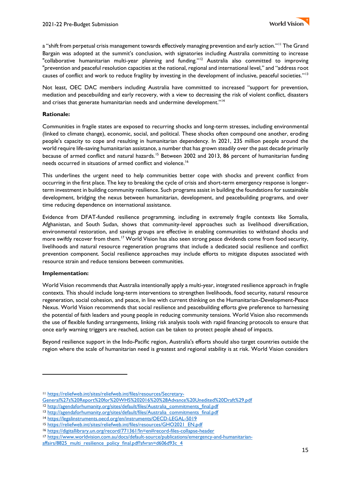a "shift from perpetual crisis management towards effectively managing prevention and early action."<sup>11</sup> The Grand Bargain was adopted at the summit's conclusion, with signatories including Australia committing to increase "collaborative humanitarian multi-year planning and funding."<sup>12</sup> Australia also committed to improving "prevention and peaceful resolution capacities at the national, regional and international level," and "address root causes of conflict and work to reduce fragility by investing in the development of inclusive, peaceful societies."<sup>13</sup>

Not least, OEC DAC members including Australia have committed to increased "support for prevention, mediation and peacebuilding and early recovery, with a view to decreasing the risk of violent conflict, disasters and crises that generate humanitarian needs and undermine development."<sup>14</sup>

## **Rationale:**

Communities in fragile states are exposed to recurring shocks and long-term stresses, including environmental (linked to climate change), economic, social, and political. These shocks often compound one another, eroding people's capacity to cope and resulting in humanitarian dependency. In 2021, 235 million people around the world require life-saving humanitarian assistance, a number that has grown steadily over the past decade primarily because of armed conflict and natural hazards.<sup>15</sup> Between 2002 and 2013, 86 percent of humanitarian funding needs occurred in situations of armed conflict and violence.<sup>16</sup>

This underlines the urgent need to help communities better cope with shocks and prevent conflict from occurring in the first place. The key to breaking the cycle of crisis and short-term emergency response is longerterm investment in building community resilience. Such programs assist in building the foundations for sustainable development, bridging the nexus between humanitarian, development, and peacebuilding programs, and over time reducing dependence on international assistance.

Evidence from DFAT-funded resilience programming, including in extremely fragile contexts like Somalia, Afghanistan, and South Sudan, shows that community-level approaches such as livelihood diversification, environmental restoration, and savings groups are effective in enabling communities to withstand shocks and more swiftly recover from them.<sup>17</sup> World Vision has also seen strong peace dividends come from food security, livelihoods and natural resource regeneration programs that include a dedicated social resilience and conflict prevention component. Social resilience approaches may include efforts to mitigate disputes associated with resource strain and reduce tensions between communities.

#### **Implementation:**

World Vision recommends that Australia intentionally apply a multi-year, integrated resilience approach in fragile contexts. This should include long-term interventions to strengthen livelihoods, food security, natural resource regeneration, social cohesion, and peace, in line with current thinking on the Humanitarian-Development-Peace Nexus. World Vision recommends that social resilience and peacebuilding efforts give preference to harnessing the potential of faith leaders and young people in reducing community tensions. World Vision also recommends the use of flexible funding arrangements, linking risk analysis tools with rapid financing protocols to ensure that once early warning triggers are reached, action can be taken to protect people ahead of impacts.

Beyond resilience support in the Indo-Pacific region, Australia's efforts should also target countries outside the region where the scale of humanitarian need is greatest and regional stability is at risk. World Vision considers

<sup>11</sup> https://reliefweb.int/sites/reliefweb.int/files/resources/Secretary-

General%27s%20Report%20for%20WHS%202016%20%28Advance%20Unedited%20Draft%29.pdf

<sup>12</sup> http://agendaforhumanity.org/sites/default/files/Australia\_commitments\_final.pdf

<sup>13</sup> [http://agendaforhumanity.org/sites/default/files/Australia\\_commitments\\_final.pdf](http://agendaforhumanity.org/sites/default/files/Australia_commitments_final.pdf) 

<sup>14</sup> <https://legalinstruments.oecd.org/en/instruments/OECD-LEGAL-5019>

<sup>15</sup> [https://reliefweb.int/sites/reliefweb.int/files/resources/GHO2021\\_EN.pdf](https://reliefweb.int/sites/reliefweb.int/files/resources/GHO2021_EN.pdf)

<sup>16</sup> <https://digitallibrary.un.org/record/771361?ln=en#record-files-collapse-header>

<sup>17</sup> [https://www.worldvision.com.au/docs/default-source/publications/emergency-and-humanitarian-](https://www.worldvision.com.au/docs/default-source/publications/emergency-and-humanitarian-affairs/8825_multi_resilience_policy_final.pdf?sfvrsn=d606d93c_4)

[affairs/8825\\_multi\\_resilience\\_policy\\_final.pdf?sfvrsn=d606d93c\\_4](https://www.worldvision.com.au/docs/default-source/publications/emergency-and-humanitarian-affairs/8825_multi_resilience_policy_final.pdf?sfvrsn=d606d93c_4)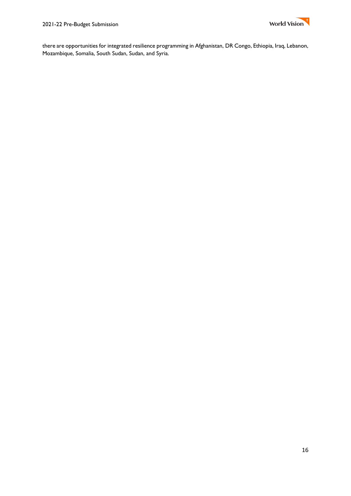

there are opportunities for integrated resilience programming in Afghanistan, DR Congo, Ethiopia, Iraq, Lebanon, Mozambique, Somalia, South Sudan, Sudan, and Syria.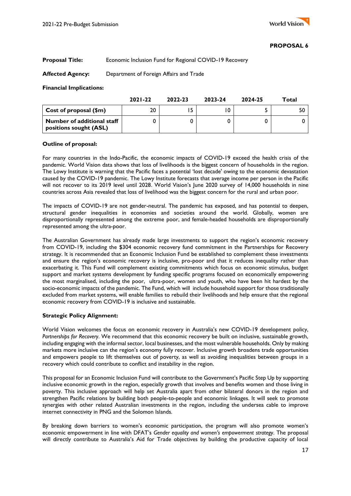# **Proposal Title:** Economic Inclusion Fund for Regional COVID-19 Recovery

# **Affected Agency:** Department of Foreign Affairs and Trade

#### **Financial Implications:**

|                                                      | $2021 - 22$ | 2022-23 | 2023-24 | 2024-25 | Total |
|------------------------------------------------------|-------------|---------|---------|---------|-------|
| Cost of proposal (\$m)                               | 20          |         | 0       |         | 50    |
| Number of additional staff<br>positions sought (ASL) |             |         |         |         |       |

#### **Outline of proposal:**

For many countries in the Indo-Pacific, the economic impacts of COVID-19 exceed the health crisis of the pandemic. World Vision data shows that loss of livelihoods is the biggest concern of households in the region. The Lowy Institute is warning that the Pacific faces a potential 'lost decade' owing to the economic devastation caused by the COVID-19 pandemic. The Lowy Institute forecasts that average income per person in the Pacific will not recover to its 2019 level until 2028. World Vision's June 2020 survey of 14,000 households in nine countries across Asia revealed that loss of livelihood was the biggest concern for the rural and urban poor.

The impacts of COVID-19 are not gender-neutral. The pandemic has exposed, and has potential to deepen, structural gender inequalities in economies and societies around the world. Globally, women are disproportionally represented among the extreme poor, and female-headed households are disproportionally represented among the ultra-poor.

The Australian Government has already made large investments to support the region's economic recovery from COVID-19, including the \$304 economic recovery fund commitment in the Partnerships for Recovery strategy. It is recommended that an Economic Inclusion Fund be established to complement these investments and ensure the region's economic recovery is inclusive, pro-poor and that it reduces inequality rather than exacerbating it. This Fund will complement existing commitments which focus on economic stimulus, budget support and market systems development by funding specific programs focused on economically empowering the most marginalised, including the poor, ultra-poor, women and youth, who have been hit hardest by the socio-economic impacts of the pandemic. The Fund, which will include household support for those traditionally excluded from market systems, will enable families to rebuild their livelihoods and help ensure that the regional economic recovery from COVID-19 is inclusive and sustainable.

#### **Strategic Policy Alignment:**

World Vision welcomes the focus on economic recovery in Australia's new COVID-19 development policy, *Partnerships for Recovery*. We recommend that this economic recovery be built on inclusive, sustainable growth, including engaging with the informal sector, local businesses, and the most vulnerable households. Only by making markets more inclusive can the region's economy fully recover. Inclusive growth broadens trade opportunities and empowers people to lift themselves out of poverty, as well as avoiding inequalities between groups in a recovery which could contribute to conflict and instability in the region.

This proposal for an Economic Inclusion Fund will contribute to the Government's Pacific Step Up by supporting inclusive economic growth in the region, especially growth that involves and benefits women and those living in poverty. This inclusive approach will help set Australia apart from other bilateral donors in the region and strengthen Pacific relations by building both people-to-people and economic linkages. It will seek to promote synergies with other related Australian investments in the region, including the undersea cable to improve internet connectivity in PNG and the Solomon Islands.

By breaking down barriers to women's economic participation, the program will also promote women's economic empowerment in line with DFAT's *Gender equality and women's empowerment strategy*. The proposal will directly contribute to Australia's Aid for Trade objectives by building the productive capacity of local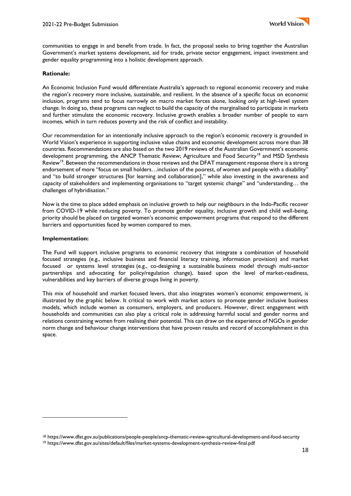

communities to engage in and benefit from trade. In fact, the proposal seeks to bring together the Australian Government's market systems development, aid for trade, private sector engagement, impact investment and gender equality programming into a holistic development approach.

## **Rationale:**

An Economic Inclusion Fund would differentiate Australia's approach to regional economic recovery and make the region's recovery more inclusive, sustainable, and resilient. In the absence of a specific focus on economic inclusion, programs tend to focus narrowly on macro market forces alone, looking only at high-level system change. In doing so, these programs can neglect to build the capacity of the marginalised to participate in markets and further stimulate the economic recovery. Inclusive growth enables a broader number of people to earn incomes, which in turn reduces poverty and the risk of conflict and instability.

Our recommendation for an intentionally inclusive approach to the region's economic recovery is grounded in World Vision's experience in supporting inclusive value chains and economic development across more than 38 countries. Recommendations are also based on the two 2019 reviews of the Australian Government's economic development programming, the ANCP Thematic Review; Agriculture and Food Security<sup>18</sup> and MSD Synthesis Review<sup>19</sup>. Between the recommendations in those reviews and the DFAT management response there is a strong endorsement of more "focus on small holders…inclusion of the poorest, of women and people with a disability" and "to build stronger structures [for learning and collaboration]," while also investing in the awareness and capacity of stakeholders and implementing organisations to "target systemic change" and "understanding… the challenges of hybridisation."

Now is the time to place added emphasis on inclusive growth to help our neighbours in the Indo-Pacific recover from COVID-19 while reducing poverty. To promote gender equality, inclusive growth and child well-being, priority should be placed on targeted women's economic empowerment programs that respond to the different barriers and opportunities faced by women compared to men.

#### **Implementation:**

The Fund will support inclusive programs to economic recovery that integrate a combination of household focused strategies (e.g., inclusive business and financial literacy training, information provision) and market focused or systems level strategies (e.g., co-designing a sustainable business model through multi-sector partnerships and advocating for policy/regulation change), based upon the level of market-readiness, vulnerabilities and key barriers of diverse groups living in poverty.

This mix of household and market focused levers, that also integrates women's economic empowerment, is illustrated by the graphic below. It critical to work with market actors to promote gender inclusive business models, which include women as consumers, employers, and producers. However, direct engagement with households and communities can also play a critical role in addressing harmful social and gender norms and relations constraining women from realising their potential. This can draw on the experience of NGOs in gender norm change and behaviour change interventions that have proven results and record of accomplishment in this space.

<sup>18</sup> https://www.dfat.gov.au/publications/people-people/ancp-thematic-review-agricultural-development-and-food-security

<sup>19</sup> https://www.dfat.gov.au/sites/default/files/market-systems-development-synthesis-review-final.pdf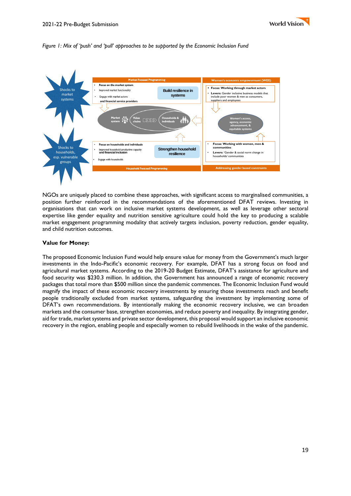

#### *Figure 1: Mix of 'push' and 'pull' approaches to be supported by the Economic Inclusion Fund*



NGOs are uniquely placed to combine these approaches, with significant access to marginalised communities, a position further reinforced in the recommendations of the aforementioned DFAT reviews. Investing in organisations that can work on inclusive market systems development, as well as leverage other sectoral expertise like gender equality and nutrition sensitive agriculture could hold the key to producing a scalable market engagement programming modality that actively targets inclusion, poverty reduction, gender equality, and child nutrition outcomes.

#### **Value for Money:**

The proposed Economic Inclusion Fund would help ensure value for money from the Government's much larger investments in the Indo-Pacific's economic recovery. For example, DFAT has a strong focus on food and agricultural market systems. According to the 2019-20 Budget Estimate, DFAT's assistance for agriculture and food security was \$230.3 million. In addition, the Government has announced a range of economic recovery packages that total more than \$500 million since the pandemic commences. The Economic Inclusion Fund would magnify the impact of these economic recovery investments by ensuring those investments reach and benefit people traditionally excluded from market systems, safeguarding the investment by implementing some of DFAT's own recommendations. By intentionally making the economic recovery inclusive, we can broaden markets and the consumer base, strengthen economies, and reduce poverty and inequality. By integrating gender, aid for trade, market systems and private sector development, this proposal would support an inclusive economic recovery in the region, enabling people and especially women to rebuild livelihoods in the wake of the pandemic.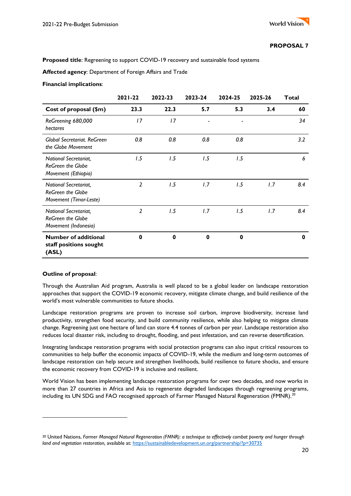**Proposed title**: Regreening to support COVID-19 recovery and sustainable food systems

**Affected agency**: Department of Foreign Affairs and Trade

#### **Financial implications**:

|                                                                           | 2021-22        | 2022-23     | 2023-24 | 2024-25      | 2025-26 | <b>Total</b> |
|---------------------------------------------------------------------------|----------------|-------------|---------|--------------|---------|--------------|
| Cost of proposal (\$m)                                                    | 23.3           | 22.3        | 5.7     | 5.3          | 3.4     | 60           |
| ReGreening 680,000<br>hectares                                            | 17             | 17          |         |              |         | 34           |
| <b>Global Secretariat, ReGreen</b><br>the Globe Movement                  | 0.8            | 0.8         | 0.8     | 0.8          |         | 3.2          |
| National Secretariat,<br><b>ReGreen the Globe</b><br>Movement (Ethiopia)  | 1.5            | 1.5         | 1.5     | 1.5          |         | 6            |
| National Secretariat,<br>ReGreen the Globe<br>Movement (Timor-Leste)      | $\overline{2}$ | 1.5         | 1.7     | 1.5          | 1.7     | 8.4          |
| National Secretariat,<br><b>ReGreen the Globe</b><br>Movement (Indonesia) | 2              | 1.5         | 1.7     | 1.5          | 1.7     | 8.4          |
| <b>Number of additional</b><br>staff positions sought<br>(ASL)            | $\bf{0}$       | $\mathbf 0$ | 0       | $\mathbf{0}$ |         | $\mathbf 0$  |

# **Outline of proposal**:

Through the Australian Aid program, Australia is well placed to be a global leader on landscape restoration approaches that support the COVID-19 economic recovery, mitigate climate change, and build resilience of the world's most vulnerable communities to future shocks.

Landscape restoration programs are proven to increase soil carbon, improve biodiversity, increase land productivity, strengthen food security, and build community resilience, while also helping to mitigate climate change. Regreening just one hectare of land can store 4.4 tonnes of carbon per year. Landscape restoration also reduces local disaster risk, including to drought, flooding, and pest infestation, and can reverse desertification.

Integrating landscape restoration programs with social protection programs can also input critical resources to communities to help buffer the economic impacts of COVID-19, while the medium and long-term outcomes of landscape restoration can help secure and strengthen livelihoods, build resilience to future shocks, and ensure the economic recovery from COVID-19 is inclusive and resilient.

World Vision has been implementing landscape restoration programs for over two decades, and now works in more than 27 countries in Africa and Asia to regenerate degraded landscapes through regreening programs, including its UN SDG and FAO recognised approach of Farmer Managed Natural Regeneration (FMNR).<sup>20</sup>

<sup>20</sup> United Nations, *Farmer Managed Natural Regeneration (FMNR): a technique to effectively combat poverty and hunger through land and vegetation restoration, available at: <https://sustainabledevelopment.un.org/partnership/?p=30735>*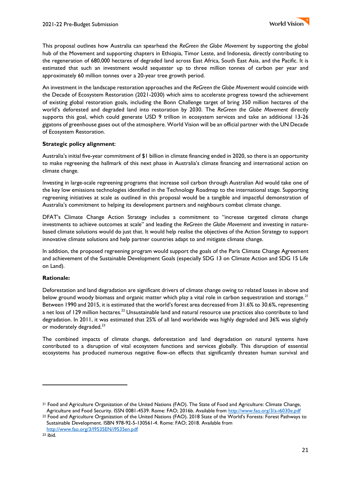This proposal outlines how Australia can spearhead the *ReGreen the Globe Movement* by supporting the global hub of the Movement and supporting chapters in Ethiopia, Timor Leste, and Indonesia, directly contributing to the regeneration of 680,000 hectares of degraded land across East Africa, South East Asia, and the Pacific. It is estimated that such an investment would sequester up to three million tonnes of carbon per year and approximately 60 million tonnes over a 20-year tree growth period.

An investment in the landscape restoration approaches and the *ReGreen the Globe Movement* would coincide with the Decade of Ecosystem Restoration (2021-2030) which aims to accelerate progress toward the achievement of existing global restoration goals, including the Bonn Challenge target of bring 350 million hectares of the world's deforested and degraded land into restoration by 2030. The *ReGreen the Globe Movement* directly supports this goal, which could generate USD 9 trillion in ecosystem services and take an additional 13-26 gigatons of greenhouse gases out of the atmosphere. World Vision will be an official partner with the UN Decade of Ecosystem Restoration.

# **Strategic policy alignment**:

Australia's initial five-year commitment of \$1 billion in climate financing ended in 2020, so there is an opportunity to make regreening the hallmark of this next phase in Australia's climate financing and international action on climate change.

Investing in large-scale regreening programs that increase soil carbon through Australian Aid would take one of the key low emissions technologies identified in the Technology Roadmap to the international stage. Supporting regreening initiatives at scale as outlined in this proposal would be a tangible and impactful demonstration of Australia's commitment to helping its development partners and neighbours combat climate change.

DFAT's Climate Change Action Strategy includes a commitment to "increase targeted climate change investments to achieve outcomes at scale" and leading the *ReGreen the Globe Movement* and investing in naturebased climate solutions would do just that. It would help realise the objectives of the Action Strategy to support innovative climate solutions and help partner countries adapt to and mitigate climate change.

In addition, the proposed regreening program would support the goals of the Paris Climate Change Agreement and achievement of the Sustainable Development Goals (especially SDG 13 on Climate Action and SDG 15 Life on Land).

# **Rationale:**

Deforestation and land degradation are significant drivers of climate change owing to related losses in above and below ground woody biomass and organic matter which play a vital role in carbon sequestration and storage.<sup>21</sup> Between 1990 and 2015, it is estimated that the world's forest area decreased from 31.6% to 30.6%, representing a net loss of 129 million hectares.<sup>22</sup> Unsustainable land and natural resource use practices also contribute to land degradation. In 2011, it was estimated that 25% of all land worldwide was highly degraded and 36% was slightly or moderately degraded.<sup>23</sup>

The combined impacts of climate change, deforestation and land degradation on natural systems have contributed to a disruption of vital ecosystem functions and services globally. This disruption of essential ecosystems has produced numerous negative flow-on effects that significantly threaten human survival and

<sup>&</sup>lt;sup>21</sup> Food and Agriculture Organization of the United Nations (FAO). The State of Food and Agriculture: Climate Change, Agriculture and Food Security. ISSN 0081-4539. Rome: FAO; 2016b. Available from<http://www.fao.org/3/a-i6030e.pdf>

<sup>22</sup> Food and Agriculture Organization of the United Nations (FAO). 2018 State of the World's Forests: Forest Pathways to Sustainable Development. ISBN 978-92-5-130561-4. Rome: FAO; 2018. Available from <http://www.fao.org/3/I9535EN/i9535en.pdf>

 $23$  ibid.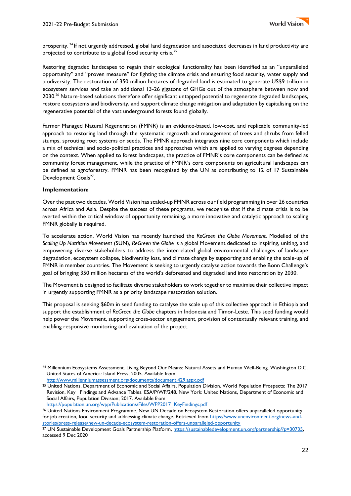

prosperity. <sup>24</sup> If not urgently addressed, global land degradation and associated decreases in land productivity are projected to contribute to a global food security crisis.<sup>25</sup>

Restoring degraded landscapes to regain their ecological functionality has been identified as an "unparalleled opportunity" and "proven measure" for fighting the climate crisis and ensuring food security, water supply and biodiversity. The restoration of 350 million hectares of degraded land is estimated to generate US\$9 trillion in ecosystem services and take an additional 13-26 gigatons of GHGs out of the atmosphere between now and 2030.<sup>26</sup> Nature-based solutions therefore offer significant untapped potential to regenerate degraded landscapes, restore ecosystems and biodiversity, and support climate change mitigation and adaptation by capitalising on the regenerative potential of the vast underground forests found globally.

Farmer Managed Natural Regeneration (FMNR) is an evidence-based, low-cost, and replicable community-led approach to restoring land through the systematic regrowth and management of trees and shrubs from felled stumps, sprouting root systems or seeds. The FMNR approach integrates nine core components which include a mix of technical and socio-political practices and approaches which are applied to varying degrees depending on the context. When applied to forest landscapes, the practice of FMNR's core components can be defined as community forest management, while the practice of FMNR's core components on agricultural landscapes can be defined as agroforestry. FMNR has been recognised by the UN as contributing to 12 of 17 Sustainable Development Goals<sup>27</sup>.

#### **Implementation:**

Over the past two decades, World Vision has scaled-up FMNR across our field programming in over 26 countries across Africa and Asia. Despite the success of these programs, we recognise that if the climate crisis is to be averted within the critical window of opportunity remaining, a more innovative and catalytic approach to scaling FMNR globally is required.

To accelerate action, World Vision has recently launched the *ReGreen the Globe Movement*. Modelled of the *Scaling Up Nutrition Movement* (SUN), *ReGreen the Globe* is a global Movement dedicated to inspiring, uniting, and empowering diverse stakeholders to address the interrelated global environmental challenges of landscape degradation, ecosystem collapse, biodiversity loss, and climate change by supporting and enabling the scale-up of FMNR in member countries. The Movement is seeking to urgently catalyse action towards the Bonn Challenge's goal of bringing 350 million hectares of the world's deforested and degraded land into restoration by 2030.

The Movement is designed to facilitate diverse stakeholders to work together to maximise their collective impact in urgently supporting FMNR as a priority landscape restoration solution.

This proposal is seeking \$60m in seed funding to catalyse the scale up of this collective approach in Ethiopia and support the establishment of *ReGreen the Globe* chapters in Indonesia and Timor-Leste. This seed funding would help power the Movement, supporting cross-sector engagement, provision of contextually relevant training, and enabling responsive monitoring and evaluation of the project.

<http://www.millenniumassessment.org/documents/document.429.aspx.pdf>

<sup>24</sup> Millennium Ecosystems Assessment. Living Beyond Our Means: Natural Assets and Human Well-Being. Washington D.C, United States of America: Island Press; 2005. Available from

<sup>25</sup> United Nations, Department of Economic and Social Affairs, Population Division. World Population Prospects: The 2017 Revision, Key Findings and Advance Tables. ESA/P/WP/248. New York: United Nations, Department of Economic and Social Affairs, Population Division; 2017. Available from [https://population.un.org/wpp/Publications/Files/WPP2017\\_KeyFindings.pdf](https://population.un.org/wpp/Publications/Files/WPP2017_KeyFindings.pdf)

<sup>26</sup> United Nations Environment Programme. New UN Decade on Ecosystem Restoration offers unparalleled opportunity for job creation, food security and addressing climate change. Retrieved from [https://www.unenvironment.org/news-and](https://www.unenvironment.org/news-and-stories/press-release/new-un-decade-ecosystem-restoration-offers-unparalleled-opportunity)[stories/press-release/new-un-decade-ecosystem-restoration-offers-unparalleled-opportunity](https://www.unenvironment.org/news-and-stories/press-release/new-un-decade-ecosystem-restoration-offers-unparalleled-opportunity)

<sup>&</sup>lt;sup>27</sup> UN Sustainable Development Goals Partnership Platform, https://sustainabledevelopment.un.org/partnership/?p=30735, accessed 9 Dec 2020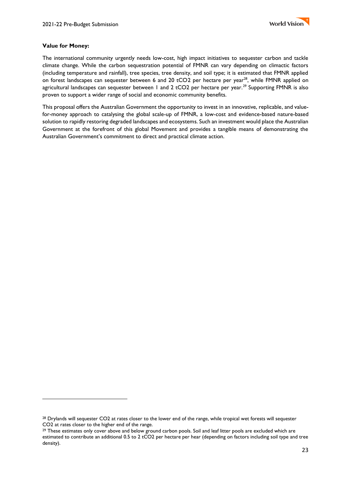## **Value for Money:**

The international community urgently needs low-cost, high impact initiatives to sequester carbon and tackle climate change. While the carbon sequestration potential of FMNR can vary depending on climactic factors (including temperature and rainfall), tree species, tree density, and soil type; it is estimated that FMNR applied on forest landscapes can sequester between 6 and 20 tCO2 per hectare per year<sup>28</sup>, while FMNR applied on agricultural landscapes can sequester between 1 and 2 tCO2 per hectare per year.<sup>29</sup> Supporting FMNR is also proven to support a wider range of social and economic community benefits.

This proposal offers the Australian Government the opportunity to invest in an innovative, replicable, and valuefor-money approach to catalysing the global scale-up of FMNR, a low-cost and evidence-based nature-based solution to rapidly restoring degraded landscapes and ecosystems. Such an investment would place the Australian Government at the forefront of this global Movement and provides a tangible means of demonstrating the Australian Government's commitment to direct and practical climate action.

<sup>28</sup> Drylands will sequester CO2 at rates closer to the lower end of the range, while tropical wet forests will sequester CO2 at rates closer to the higher end of the range.

<sup>&</sup>lt;sup>29</sup> These estimates only cover above and below ground carbon pools. Soil and leaf litter pools are excluded which are estimated to contribute an additional 0.5 to 2 tCO2 per hectare per hear (depending on factors including soil type and tree density).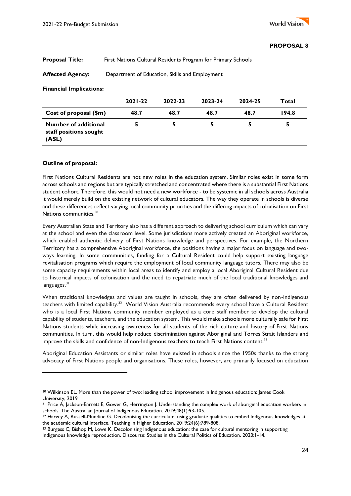# **Proposal Title:** First Nations Cultural Residents Program for Primary Schools

**Affected Agency:** Department of Education, Skills and Employment

#### **Financial Implications:**

|                                                                | $2021 - 22$ | 2022-23 | 2023-24 | 2024-25 | Total |
|----------------------------------------------------------------|-------------|---------|---------|---------|-------|
| Cost of proposal (\$m)                                         | 48.7        | 48.7    | 48.7    | 48.7    | 194.8 |
| <b>Number of additional</b><br>staff positions sought<br>(ASL) |             |         |         |         |       |

#### **Outline of proposal:**

First Nations Cultural Residents are not new roles in the education system. Similar roles exist in some form across schools and regions but are typically stretched and concentrated where there is a substantial First Nations student cohort. Therefore, this would not need a new workforce - to be systemic in all schools across Australia it would merely build on the existing network of cultural educators. The way they operate in schools is diverse and these differences reflect varying local community priorities and the differing impacts of colonisation on First Nations communities.<sup>30</sup>

Every Australian State and Territory also has a different approach to delivering school curriculum which can vary at the school and even the classroom level. Some jurisdictions more actively created an Aboriginal workforce, which enabled authentic delivery of First Nations knowledge and perspectives. For example, the Northern Territory has a comprehensive Aboriginal workforce, the positions having a major focus on language and twoways learning. In some communities, funding for a Cultural Resident could help support existing language revitalisation programs which require the employment of local community language tutors. There may also be some capacity requirements within local areas to identify and employ a local Aboriginal Cultural Resident due to historical impacts of colonisation and the need to repatriate much of the local traditional knowledges and languages.<sup>31</sup>

When traditional knowledges and values are taught in schools, they are often delivered by non-Indigenous teachers with limited capability.<sup>32</sup> World Vision Australia recommends every school have a Cultural Resident who is a local First Nations community member employed as a core staff member to develop the cultural capability of students, teachers, and the education system. This would make schools more culturally safe for First Nations students while increasing awareness for all students of the rich culture and history of First Nations communities. In turn, this would help reduce discrimination against Aboriginal and Torres Strait Islanders and improve the skills and confidence of non-Indigenous teachers to teach First Nations content.<sup>33</sup>

Aboriginal Education Assistants or similar roles have existed in schools since the 1950s thanks to the strong advocacy of First Nations people and organisations. These roles, however, are primarily focused on education

<sup>30</sup> Wilkinson EL. More than the power of two: leading school improvement in Indigenous education: James Cook University; 2019

<sup>31</sup> Price A, Jackson-Barrett E, Gower G, Herrington J. Understanding the complex work of aboriginal education workers in schools. The Australian Journal of Indigenous Education. 2019;48(1):93-105.

<sup>32</sup> Harvey A, Russell-Mundine G. Decolonising the curriculum: using graduate qualities to embed Indigenous knowledges at the academic cultural interface. Teaching in Higher Education. 2019;24(6):789-808.

<sup>33</sup> Burgess C, Bishop M, Lowe K. Decolonising Indigenous education: the case for cultural mentoring in supporting Indigenous knowledge reproduction. Discourse: Studies in the Cultural Politics of Education. 2020:1-14.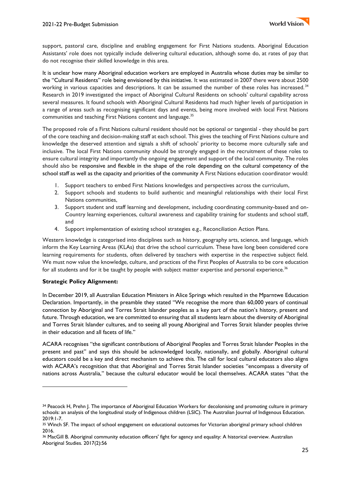

support, pastoral care, discipline and enabling engagement for First Nations students. Aboriginal Education Assistants' role does not typically include delivering cultural education, although some do, at rates of pay that do not recognise their skilled knowledge in this area.

It is unclear how many Aboriginal education workers are employed in Australia whose duties may be similar to the "Cultural Residents" role being envisioned by this initiative. It was estimated in 2007 there were about 2500 working in various capacities and descriptions. It can be assumed the number of these roles has increased.<sup>34</sup> Research in 2019 investigated the impact of Aboriginal Cultural Residents on schools' cultural capability across several measures. It found schools with Aboriginal Cultural Residents had much higher levels of participation in a range of areas such as recognising significant days and events, being more involved with local First Nations communities and teaching First Nations content and language.<sup>35</sup>

The proposed role of a First Nations cultural resident should not be optional or tangential - they should be part of the core teaching and decision-making staff at each school. This gives the teaching of First Nations culture and knowledge the deserved attention and signals a shift of schools' priority to become more culturally safe and inclusive. The local First Nations community should be strongly engaged in the recruitment of these roles to ensure cultural integrity and importantly the ongoing engagement and support of the local community. The roles should also be responsive and flexible in the shape of the role depending on the cultural competency of the school staff as well as the capacity and priorities of the community A First Nations education coordinator would:

- 1. Support teachers to embed First Nations knowledges and perspectives across the curriculum,
- 2. Support schools and students to build authentic and meaningful relationships with their local First Nations communities,
- 3. Support student and staff learning and development, including coordinating community-based and on-Country learning experiences, cultural awareness and capability training for students and school staff, and
- 4. Support implementation of existing school strategies e.g., Reconciliation Action Plans.

Western knowledge is categorised into disciplines such as history, geography arts, science, and language, which inform the Key Learning Areas (KLAs) that drive the school curriculum. These have long been considered core learning requirements for students, often delivered by teachers with expertise in the respective subject field. We must now value the knowledge, culture, and practices of the First Peoples of Australia to be core education for all students and for it be taught by people with subject matter expertise and personal experience.<sup>36</sup>

# **Strategic Policy Alignment:**

In December 2019, all Australian Education Ministers in Alice Springs which resulted in the Mparntwe Education Declaration. Importantly, in the preamble they stated "We recognise the more than 60,000 years of continual connection by Aboriginal and Torres Strait Islander peoples as a key part of the nation's history, present and future. Through education, we are committed to ensuring that all students learn about the diversity of Aboriginal and Torres Strait Islander cultures, and to seeing all young Aboriginal and Torres Strait Islander peoples thrive in their education and all facets of life."

ACARA recognises "the significant contributions of Aboriginal Peoples and Torres Strait Islander Peoples in the present and past" and says this should be acknowledged locally, nationally, and globally. Aboriginal cultural educators could be a key and direct mechanism to achieve this. The call for local cultural educators also aligns with ACARA's recognition that that Aboriginal and Torres Strait Islander societies "encompass a diversity of nations across Australia," because the cultural educator would be local themselves. ACARA states "that the

<sup>34</sup> Peacock H, Prehn J. The importance of Aboriginal Education Workers for decolonising and promoting culture in primary schools: an analysis of the longitudinal study of Indigenous children (LSIC). The Australian Journal of Indigenous Education. 2019:1-7.

<sup>35</sup> Winch SF. The impact of school engagement on educational outcomes for Victorian aboriginal primary school children 2016.

<sup>36</sup> MacGill B. Aboriginal community education officers' fight for agency and equality: A historical overview. Australian Aboriginal Studies. 2017(2):56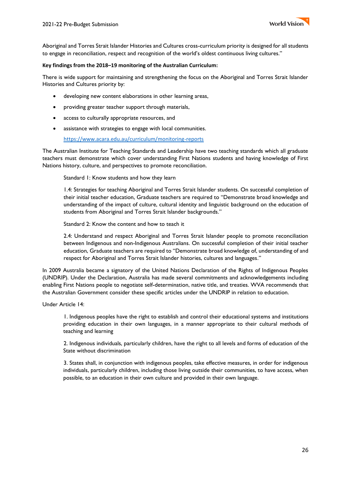

Aboriginal and Torres Strait Islander Histories and Cultures cross-curriculum priority is designed for all students to engage in reconciliation, respect and recognition of the world's oldest continuous living cultures."

#### **Key findings from the 2018–19 monitoring of the Australian Curriculum:**

There is wide support for maintaining and strengthening the focus on the Aboriginal and Torres Strait Islander Histories and Cultures priority by:

- developing new content elaborations in other learning areas,
- providing greater teacher support through materials,
- access to culturally appropriate resources, and
- assistance with strategies to engage with local communities.

<https://www.acara.edu.au/curriculum/monitoring-reports>

The Australian Institute for Teaching Standards and Leadership have two teaching standards which all graduate teachers must demonstrate which cover understanding First Nations students and having knowledge of First Nations history, culture, and perspectives to promote reconciliation.

Standard 1: Know students and how they learn

1.4: Strategies for teaching Aboriginal and Torres Strait Islander students. On successful completion of their initial teacher education, Graduate teachers are required to "Demonstrate broad knowledge and understanding of the impact of culture, cultural identity and linguistic background on the education of students from Aboriginal and Torres Strait Islander backgrounds."

Standard 2: Know the content and how to teach it

2.4: Understand and respect Aboriginal and Torres Strait Islander people to promote reconciliation between Indigenous and non-Indigenous Australians. On successful completion of their initial teacher education, Graduate teachers are required to "Demonstrate broad knowledge of, understanding of and respect for Aboriginal and Torres Strait Islander histories, cultures and languages."

In 2009 Australia became a signatory of the United Nations Declaration of the Rights of Indigenous Peoples (UNDRIP). Under the Declaration, Australia has made several commitments and acknowledgements including enabling First Nations people to negotiate self-determination, native title, and treaties. WVA recommends that the Australian Government consider these specific articles under the UNDRIP in relation to education.

Under Article 14:

1. Indigenous peoples have the right to establish and control their educational systems and institutions providing education in their own languages, in a manner appropriate to their cultural methods of teaching and learning

2. Indigenous individuals, particularly children, have the right to all levels and forms of education of the State without discrimination

3. States shall, in conjunction with indigenous peoples, take effective measures, in order for indigenous individuals, particularly children, including those living outside their communities, to have access, when possible, to an education in their own culture and provided in their own language.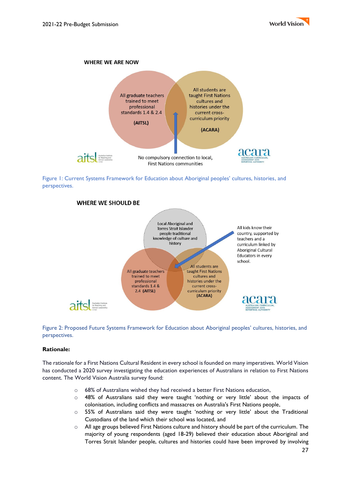



Figure 1: Current Systems Framework for Education about Aboriginal peoples' cultures, histories, and perspectives.



Figure 2: Proposed Future Systems Framework for Education about Aboriginal peoples' cultures, histories, and perspectives.

#### **Rationale:**

The rationale for a First Nations Cultural Resident in every school is founded on many imperatives. World Vision has conducted a 2020 survey investigating the education experiences of Australians in relation to First Nations content. The World Vision Australia survey found:

- o 68% of Australians wished they had received a better First Nations education,
- o 48% of Australians said they were taught 'nothing or very little' about the impacts of colonisation, including conflicts and massacres on Australia's First Nations people,
- $\circ$  55% of Australians said they were taught 'nothing or very little' about the Traditional Custodians of the land which their school was located, and
- $\circ$  All age groups believed First Nations culture and history should be part of the curriculum. The majority of young respondents (aged 18-29) believed their education about Aboriginal and Torres Strait Islander people, cultures and histories could have been improved by involving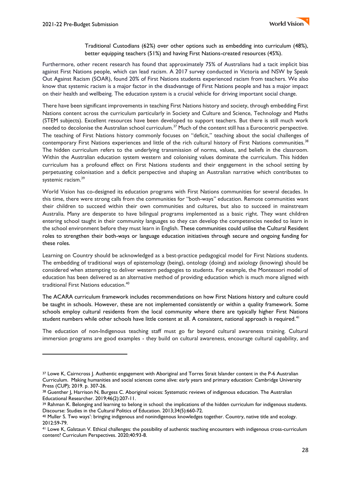Traditional Custodians (62%) over other options such as embedding into curriculum (48%), better equipping teachers (51%) and having First Nations-created resources (45%).

Furthermore, other recent research has found that approximately 75% of Australians had a tacit implicit bias against First Nations people, which can lead racism. A 2017 survey conducted in Victoria and NSW by Speak Out Against Racism (SOAR), found 20% of First Nations students experienced racism from teachers. We also know that systemic racism is a major factor in the disadvantage of First Nations people and has a major impact on their health and wellbeing. The education system is a crucial vehicle for driving important social change.

There have been significant improvements in teaching First Nations history and society, through embedding First Nations content across the curriculum particularly in Society and Culture and Science, Technology and Maths (STEM subjects). Excellent resources have been developed to support teachers. But there is still much work needed to decolonise the Australian school curriculum.<sup>37</sup> Much of the content still has a Eurocentric perspective. The teaching of First Nations history commonly focuses on "deficit," teaching about the social challenges of contemporary First Nations experiences and little of the rich cultural history of First Nations communities.<sup>38</sup> The hidden curriculum refers to the underlying transmission of norms, values, and beliefs in the classroom. Within the Australian education system western and colonising values dominate the curriculum. This hidden curriculum has a profound effect on First Nations students and their engagement in the school setting by perpetuating colonisation and a deficit perspective and shaping an Australian narrative which contributes to systemic racism.<sup>39</sup>

World Vision has co-designed its education programs with First Nations communities for several decades. In this time, there were strong calls from the communities for "both-ways" education. Remote communities want their children to succeed within their own communities and cultures, but also to succeed in mainstream Australia. Many are desperate to have bilingual programs implemented as a basic right. They want children entering school taught in their community languages so they can develop the competencies needed to learn in the school environment before they must learn in English. These communities could utilise the Cultural Resident roles to strengthen their both-ways or language education initiatives through secure and ongoing funding for these roles.

Learning on Country should be acknowledged as a best-practice pedagogical model for First Nations students. The embedding of traditional ways of epistemology (being), ontology (doing) and axiology (knowing) should be considered when attempting to deliver western pedagogies to students. For example, the Montessori model of education has been delivered as an alternative method of providing education which is much more aligned with traditional First Nations education.<sup>40</sup>

The ACARA curriculum framework includes recommendations on how First Nations history and culture could be taught in schools. However, these are not implemented consistently or within a quality framework. Some schools employ cultural residents from the local community where there are typically higher First Nations student numbers while other schools have little content at all. A consistent, national approach is required.<sup>41</sup>

The education of non-Indigenous teaching staff must go far beyond cultural awareness training. Cultural immersion programs are good examples - they build on cultural awareness, encourage cultural capability, and

<sup>37</sup> Lowe K, Cairncross J. Authentic engagement with Aboriginal and Torres Strait Islander content in the P-6 Australian Curriculum. Making humanities and social sciences come alive: early years and primary education: Cambridge University Press (CUP); 2019. p. 307-26.

<sup>38</sup> Guenther J, Harrison N, Burgess C. Aboriginal voices: Systematic reviews of indigenous education. The Australian Educational Researcher. 2019;46(2):207-11.

<sup>&</sup>lt;sup>39</sup> Rahman K. Belonging and learning to belong in school: the implications of the hidden curriculum for indigenous students. Discourse: Studies in the Cultural Politics of Education. 2013;34(5):660-72.

<sup>40</sup> Muller S. Two ways': bringing indigenous and nonindigenous knowledges together. Country, native title and ecology. 2012:59-79.

<sup>41</sup> Lowe K, Galstaun V. Ethical challenges: the possibility of authentic teaching encounters with indigenous cross-curriculum content? Curriculum Perspectives. 2020;40:93-8.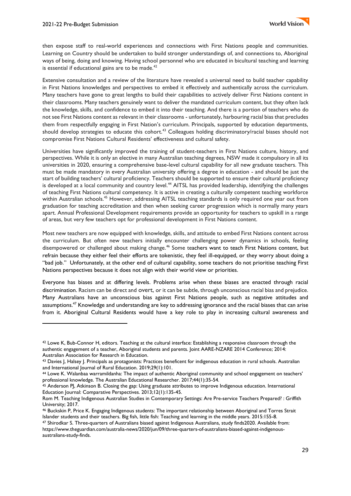

then expose staff to real-world experiences and connections with First Nations people and communities. Learning on Country should be undertaken to build stronger understandings of, and connections to, Aboriginal ways of being, doing and knowing. Having school personnel who are educated in bicultural teaching and learning is essential if educational gains are to be made. $42$ 

Extensive consultation and a review of the literature have revealed a universal need to build teacher capability in First Nations knowledges and perspectives to embed it effectively and authentically across the curriculum. Many teachers have gone to great lengths to build their capabilities to actively deliver First Nations content in their classrooms. Many teachers genuinely want to deliver the mandated curriculum content, but they often lack the knowledge, skills, and confidence to embed it into their teaching. And there is a portion of teachers who do not see First Nations content as relevant in their classrooms - unfortunately, harbouring racial bias that precludes them from respectfully engaging in First Nation's curriculum. Principals, supported by education departments, should develop strategies to educate this cohort.<sup>43</sup> Colleagues holding discriminatory/racial biases should not compromise First Nations Cultural Residents' effectiveness and cultural safety.

Universities have significantly improved the training of student-teachers in First Nations culture, history, and perspectives. While it is only an elective in many Australian teaching degrees, NSW made it compulsory in all its universities in 2020, ensuring a comprehensive base-level cultural capability for all new graduate teachers. This must be made mandatory in every Australian university offering a degree in education - and should be just the start of building teachers' cultural proficiency. Teachers should be supported to ensure their cultural proficiency is developed at a local community and country level.<sup>44</sup> AITSL has provided leadership, identifying the challenges of teaching First Nations cultural competency. It is active in creating a culturally competent teaching workforce within Australian schools.<sup>45</sup> However, addressing AITSL teaching standards is only required one year out from graduation for teaching accreditation and then when seeking career progression which is normally many years apart. Annual Professional Development requirements provide an opportunity for teachers to upskill in a range of areas, but very few teachers opt for professional development in First Nations content.

Most new teachers are now equipped with knowledge, skills, and attitude to embed First Nations content across the curriculum. But often new teachers initially encounter challenging power dynamics in schools, feeling disempowered or challenged about making change.<sup>46</sup> Some teachers want to teach First Nations content, but refrain because they either feel their efforts are tokenistic, they feel ill-equipped, or they worry about doing a "bad job." Unfortunately, at the other end of cultural capability, some teachers do not prioritise teaching First Nations perspectives because it does not align with their world view or priorities.

Everyone has biases and at differing levels. Problems arise when these biases are enacted through racial discrimination. Racism can be direct and overt, or it can be subtle, through unconscious racial bias and prejudice. Many Australians have an unconscious bias against First Nations people, such as negative attitudes and assumptions.<sup>47</sup> Knowledge and understanding are key to addressing ignorance and the racial biases that can arise from it. Aboriginal Cultural Residents would have a key role to play in increasing cultural awareness and

<sup>42</sup> Lowe K, Bub-Connor H, editors. Teaching at the cultural interface: Establishing a responsive classroom through the authentic engagement of a teacher, Aboriginal students and parents. Joint AARE-NZARE 2014 Conference; 2014: Australian Association for Research in Education.

<sup>43</sup> Davies J, Halsey J. Principals as protagonists: Practices beneficent for indigenous education in rural schools. Australian and International Journal of Rural Education. 2019;29(1):101.

<sup>44</sup> Lowe K. Walanbaa warramildanha: The impact of authentic Aboriginal community and school engagement on teachers' professional knowledge. The Australian Educational Researcher. 2017;44(1):35-54.

<sup>45</sup> Anderson PJ, Atkinson B. Closing the gap: Using graduate attributes to improve Indigenous education. International Education Journal: Comparative Perspectives. 2013;12(1):135-45.

Rom M. Teaching Indigenous Australian Studies in Contemporary Settings: Are Pre-service Teachers Prepared? : Griffith University; 2017.

<sup>46</sup> Buckskin P, Price K. Engaging Indigenous students: The important relationship between Aboriginal and Torres Strait Islander students and their teachers. Big fish, little fish: Teaching and learning in the middle years. 2015:155-8.

<sup>47</sup> Shirodkar S. Three-quarters of Australians biased against Indigenous Australians, study finds2020. Available from: https://www.theguardian.com/australia-news/2020/jun/09/three-quarters-of-australians-biased-against-indigenousaustralians-study-finds.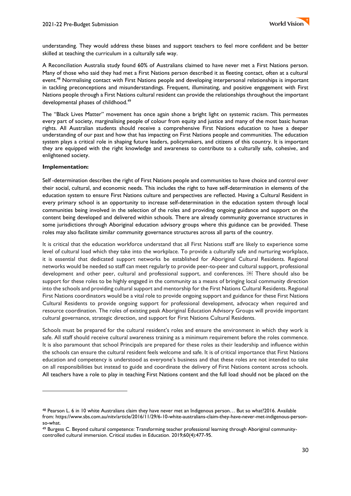understanding. They would address these biases and support teachers to feel more confident and be better skilled at teaching the curriculum in a culturally safe way.

A Reconciliation Australia study found 60% of Australians claimed to have never met a First Nations person. Many of those who said they had met a First Nations person described it as fleeting contact, often at a cultural event.<sup>48</sup> Normalising contact with First Nations people and developing interpersonal relationships is important in tackling preconceptions and misunderstandings. Frequent, illuminating, and positive engagement with First Nations people through a First Nations cultural resident can provide the relationships throughout the important developmental phases of childhood.<sup>49</sup>

The "Black Lives Matter" movement has once again shone a bright light on systemic racism. This permeates every part of society, marginalising people of colour from equity and justice and many of the most basic human rights. All Australian students should receive a comprehensive First Nations education to have a deeper understanding of our past and how that has impacting on First Nations people and communities. The education system plays a critical role in shaping future leaders, policymakers, and citizens of this country. It is important they are equipped with the right knowledge and awareness to contribute to a culturally safe, cohesive, and enlightened society.

#### **Implementation:**

Self -determination describes the right of First Nations people and communities to have choice and control over their social, cultural, and economic needs. This includes the right to have self-determination in elements of the education system to ensure First Nations culture and perspectives are reflected. Having a Cultural Resident in every primary school is an opportunity to increase self-determination in the education system through local communities being involved in the selection of the roles and providing ongoing guidance and support on the content being developed and delivered within schools. There are already community governance structures in some jurisdictions through Aboriginal education advisory groups where this guidance can be provided. These roles may also facilitate similar community governance structures across all parts of the country.

It is critical that the education workforce understand that all First Nations staff are likely to experience some level of cultural load which they take into the workplace. To provide a culturally safe and nurturing workplace, it is essential that dedicated support networks be established for Aboriginal Cultural Residents. Regional networks would be needed so staff can meet regularly to provide peer-to-peer and cultural support, professional development and other peer, cultural and professional support, and conferences. **Example 20** There should also be support for these roles to be highly engaged in the community as a means of bringing local community direction into the schools and providing cultural support and mentorship for the First Nations Cultural Residents. Regional First Nations coordinators would be a vital role to provide ongoing support and guidance for these First Nations Cultural Residents to provide ongoing support for professional development, advocacy when required and resource coordination. The roles of existing peak Aboriginal Education Advisory Groups will provide important cultural governance, strategic direction, and support for First Nations Cultural Residents.

Schools must be prepared for the cultural resident's roles and ensure the environment in which they work is safe. All staff should receive cultural awareness training as a minimum requirement before the roles commence. It is also paramount that school Principals are prepared for these roles as their leadership and influence within the schools can ensure the cultural resident feels welcome and safe. It is of critical importance that First Nations education and competency is understood as everyone's business and that these roles are not intended to take on all responsibilities but instead to guide and coordinate the delivery of First Nations content across schools. All teachers have a role to play in teaching First Nations content and the full load should not be placed on the

<sup>48</sup> Pearson L. 6 in 10 white Australians claim they have never met an Indigenous person… But so what?2016. Available from: https://www.sbs.com.au/nitv/article/2016/11/29/6-10-white-australians-claim-they-have-never-met-indigenous-personso-what.

<sup>49</sup> Burgess C. Beyond cultural competence: Transforming teacher professional learning through Aboriginal communitycontrolled cultural immersion. Critical studies in Education. 2019;60(4):477-95.